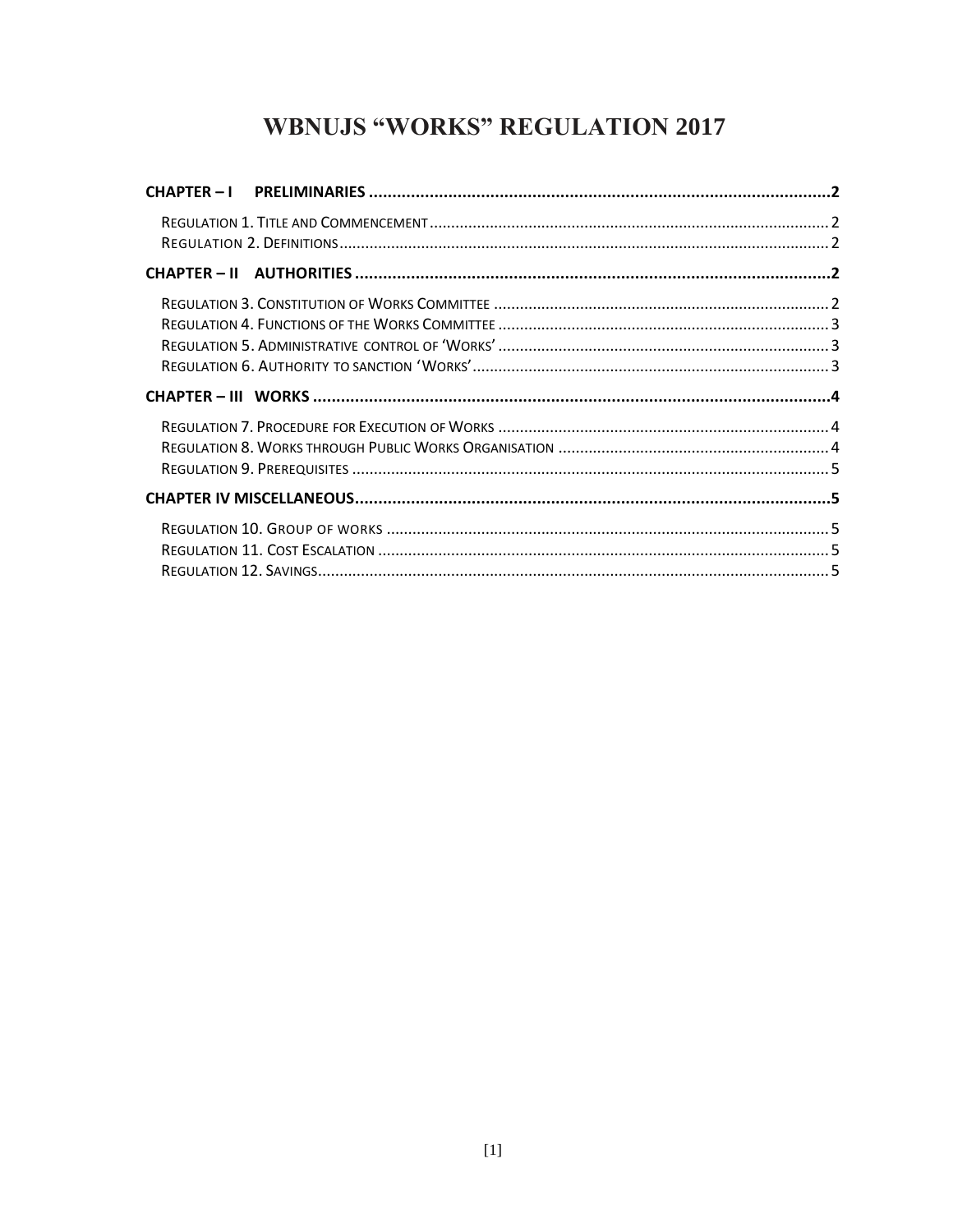# **WBNUJS "WORKS" REGULATION 2017**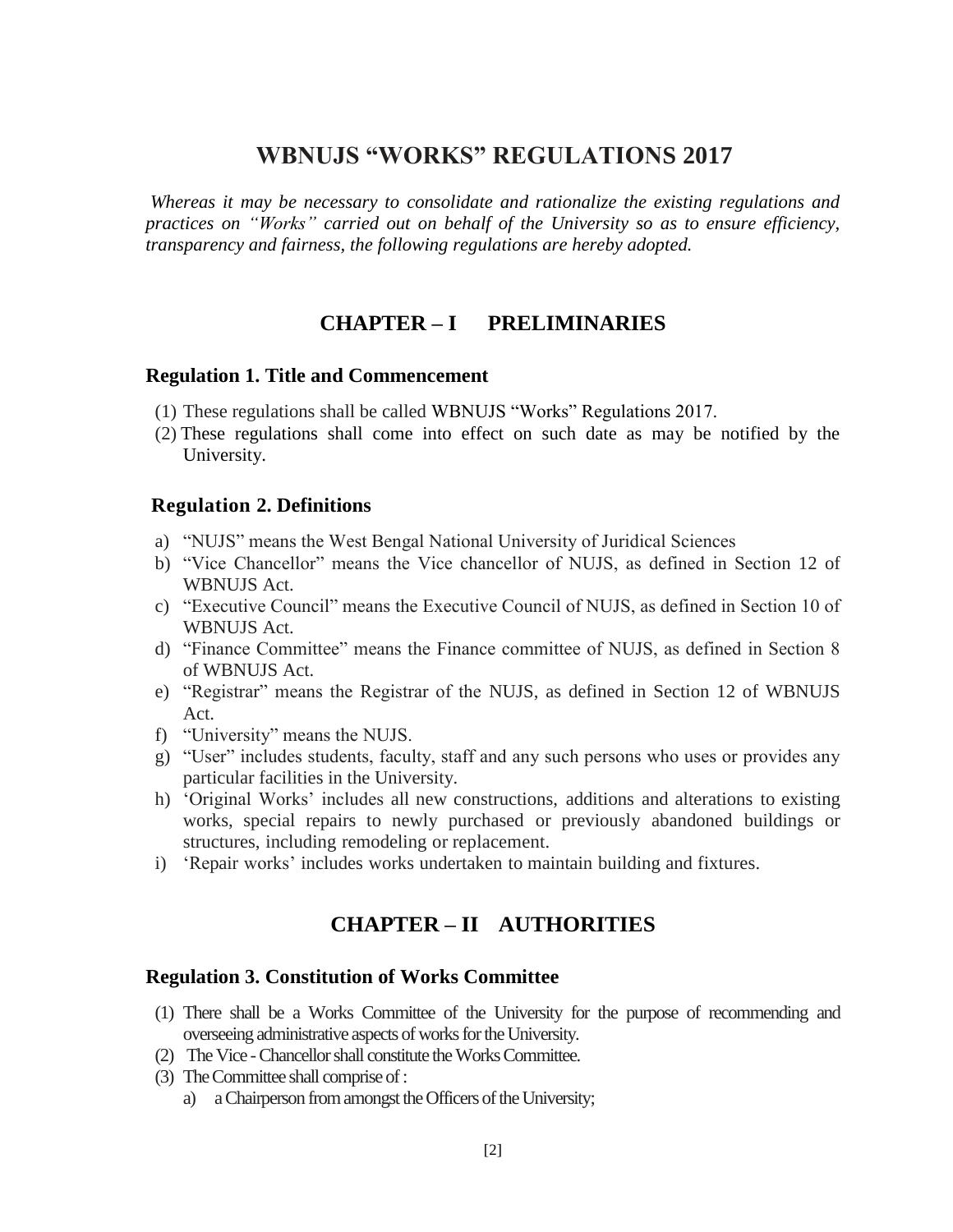## **WBNUJS "WORKS" REGULATIONS 2017**

<span id="page-1-0"></span>*Whereas it may be necessary to consolidate and rationalize the existing regulations and practices on "Works" carried out on behalf of the University so as to ensure efficiency, transparency and fairness, the following regulations are hereby adopted.*

## **CHAPTER – I PRELIMINARIES**

#### <span id="page-1-1"></span>**Regulation 1. Title and Commencement**

- (1) These regulations shall be called WBNUJS "Works" Regulations 2017.
- (2) These regulations shall come into effect on such date as may be notified by the University.

#### <span id="page-1-2"></span>**Regulation 2. Definitions**

- a) "NUJS" means the West Bengal National University of Juridical Sciences
- b) "Vice Chancellor" means the Vice chancellor of NUJS, as defined in Section 12 of WBNUJS Act.
- c) "Executive Council" means the Executive Council of NUJS, as defined in Section 10 of WBNUJS Act.
- d) "Finance Committee" means the Finance committee of NUJS, as defined in Section 8 of WBNUJS Act.
- e) "Registrar" means the Registrar of the NUJS, as defined in Section 12 of WBNUJS Act.
- f) "University" means the NUJS.
- g) "User" includes students, faculty, staff and any such persons who uses or provides any particular facilities in the University.
- h) 'Original Works' includes all new constructions, additions and alterations to existing works, special repairs to newly purchased or previously abandoned buildings or structures, including remodeling or replacement.
- <span id="page-1-3"></span>i) 'Repair works' includes works undertaken to maintain building and fixtures.

## **CHAPTER – II AUTHORITIES**

#### <span id="page-1-4"></span>**Regulation 3. Constitution of Works Committee**

- (1) There shall be a Works Committee of the University for the purpose of recommending and overseeing administrative aspects of works for the University.
- (2) The Vice -Chancellor shall constitute the WorksCommittee.
- (3) The Committee shall comprise of :
	- a) a Chairperson from amongst the Officers of the University;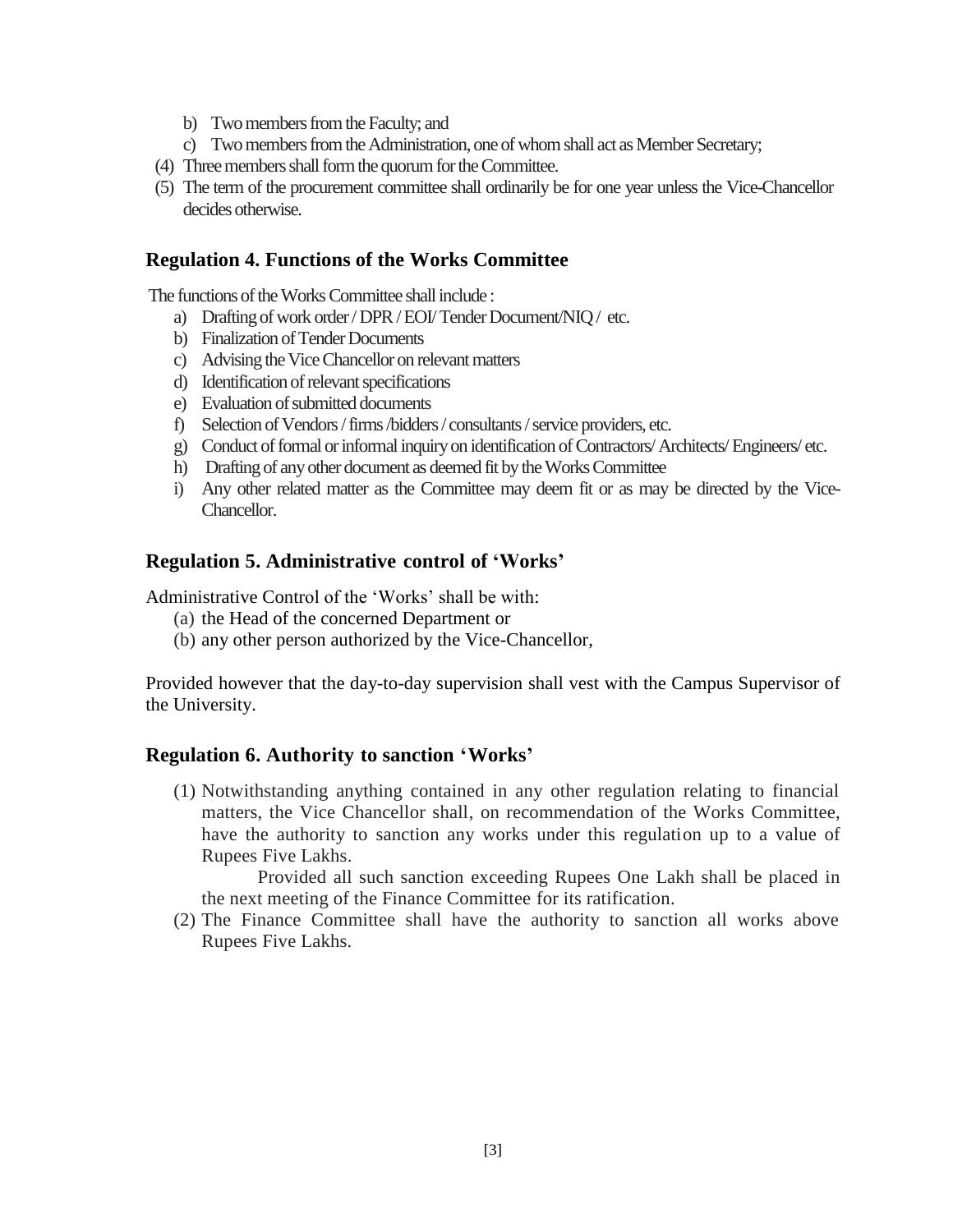- b) Two members from the Faculty; and
- c) Two members from the Administration, one of whom shall act as Member Secretary;
- (4) Three members shall form the quorum for the Committee.
- (5) The term of the procurement committee shall ordinarily be for one year unless the Vice-Chancellor decides otherwise.

#### <span id="page-2-0"></span>**Regulation 4. Functions of the Works Committee**

The functions of the Works Committee shall include :

- a) Drafting of work order / DPR / EOI/ Tender Document/NIQ / etc.
- b) Finalization of Tender Documents
- c) Advising the Vice Chancellor on relevant matters
- d) Identification of relevant specifications
- e) Evaluation of submitted documents
- f) Selection of Vendors / firms /bidders / consultants / service providers, etc.
- g) Conduct of formal or informal inquiry on identification of Contractors/ Architects/Engineers/ etc.
- h) Drafting of any other document as deemed fit by the Works Committee
- i) Any other related matter as the Committee may deem fit or as may be directed by the Vice-Chancellor.

#### <span id="page-2-1"></span>**Regulation 5. Administrative control of 'Works'**

Administrative Control of the 'Works' shall be with:

- (a) the Head of the concerned Department or
- (b) any other person authorized by the Vice-Chancellor,

Provided however that the day-to-day supervision shall vest with the Campus Supervisor of the University.

#### <span id="page-2-2"></span>**Regulation 6. Authority to sanction 'Works'**

(1) Notwithstanding anything contained in any other regulation relating to financial matters, the Vice Chancellor shall, on recommendation of the Works Committee, have the authority to sanction any works under this regulation up to a value of Rupees Five Lakhs.

Provided all such sanction exceeding Rupees One Lakh shall be placed in the next meeting of the Finance Committee for its ratification.

(2) The Finance Committee shall have the authority to sanction all works above Rupees Five Lakhs.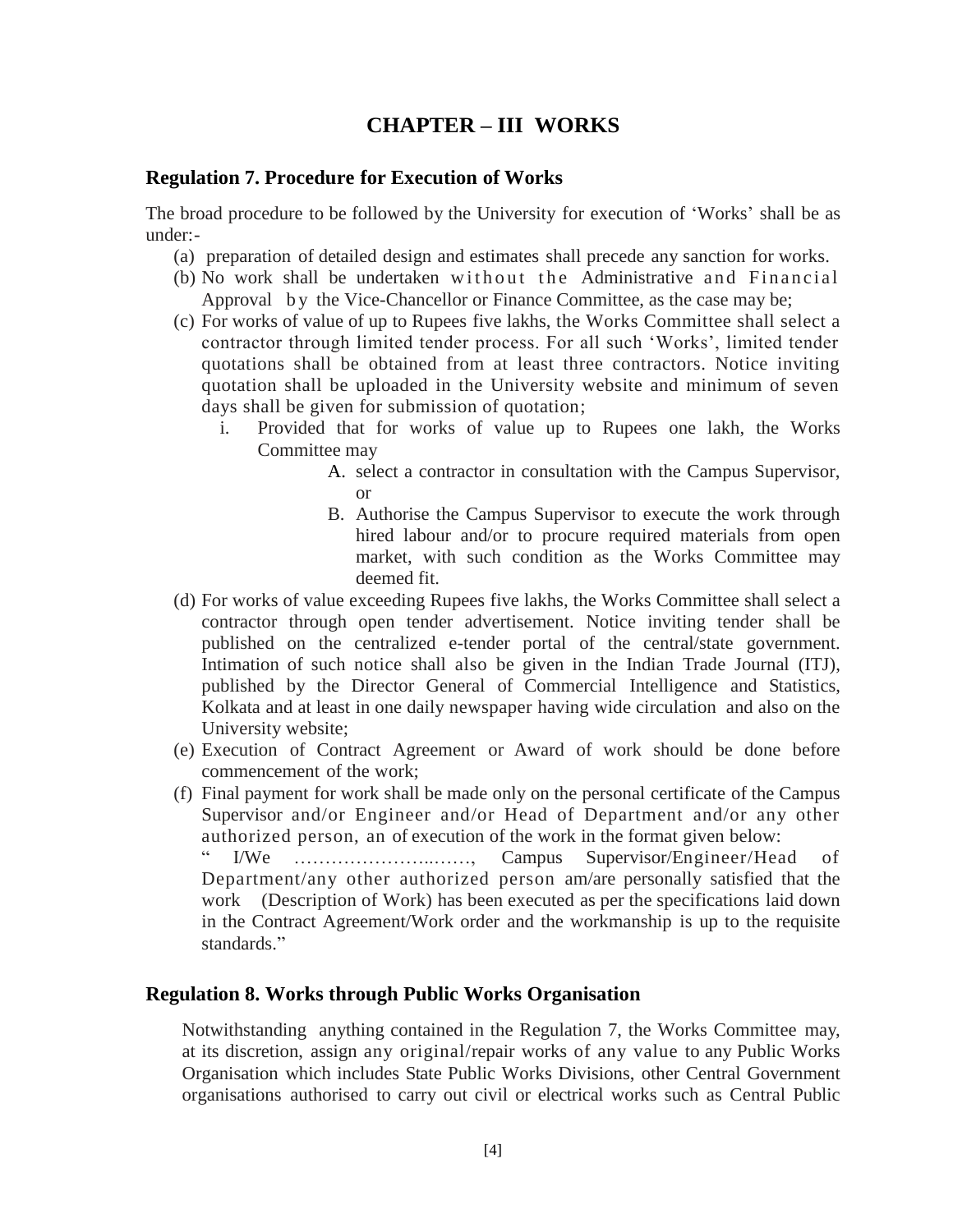## **CHAPTER – III WORKS**

#### <span id="page-3-1"></span><span id="page-3-0"></span>**Regulation 7. Procedure for Execution of Works**

The broad procedure to be followed by the University for execution of 'Works' shall be as under:-

- (a) preparation of detailed design and estimates shall precede any sanction for works.
- (b) No work shall be undertaken without the Administrative and Financial Approval by the Vice-Chancellor or Finance Committee, as the case may be;
- (c) For works of value of up to Rupees five lakhs, the Works Committee shall select a contractor through limited tender process. For all such 'Works', limited tender quotations shall be obtained from at least three contractors. Notice inviting quotation shall be uploaded in the University website and minimum of seven days shall be given for submission of quotation;
	- i. Provided that for works of value up to Rupees one lakh, the Works Committee may
		- A. select a contractor in consultation with the Campus Supervisor, or
		- B. Authorise the Campus Supervisor to execute the work through hired labour and/or to procure required materials from open market, with such condition as the Works Committee may deemed fit.
- (d) For works of value exceeding Rupees five lakhs, the Works Committee shall select a contractor through open tender advertisement. Notice inviting tender shall be published on the centralized e-tender portal of the central/state government. Intimation of such notice shall also be given in the Indian Trade Journal (ITJ), published by the Director General of Commercial Intelligence and Statistics, Kolkata and at least in one daily newspaper having wide circulation and also on the University website;
- (e) Execution of Contract Agreement or Award of work should be done before commencement of the work;
- (f) Final payment for work shall be made only on the personal certificate of the Campus Supervisor and/or Engineer and/or Head of Department and/or any other authorized person, an of execution of the work in the format given below:

" I/We …………………..……, Campus Supervisor/Engineer/Head of Department/any other authorized person am/are personally satisfied that the work (Description of Work) has been executed as per the specifications laid down in the Contract Agreement/Work order and the workmanship is up to the requisite standards."

#### <span id="page-3-2"></span>**Regulation 8. Works through Public Works Organisation**

Notwithstanding anything contained in the Regulation 7, the Works Committee may, at its discretion, assign any original/repair works of any value to any Public Works Organisation which includes State Public Works Divisions, other Central Government organisations authorised to carry out civil or electrical works such as Central Public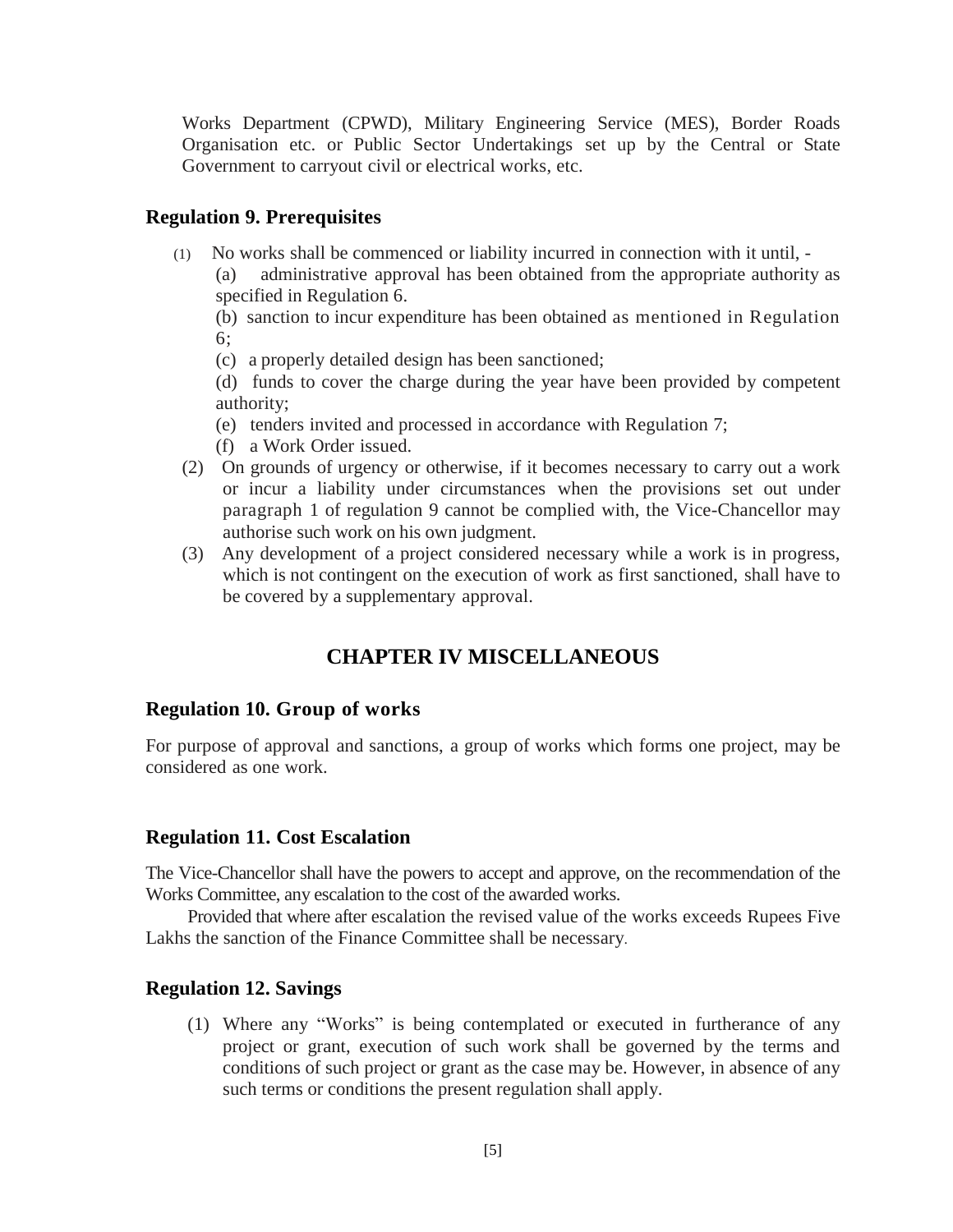Works Department (CPWD), Military Engineering Service (MES), Border Roads Organisation etc. or Public Sector Undertakings set up by the Central or State Government to carryout civil or electrical works, etc.

#### <span id="page-4-0"></span>**Regulation 9. Prerequisites**

(1)No works shall be commenced or liability incurred in connection with it until, -

(a) administrative approval has been obtained from the appropriate authority as specified in Regulation 6.

(b) sanction to incur expenditure has been obtained as mentioned in Regulation 6;

(c) a properly detailed design has been sanctioned;

(d) funds to cover the charge during the year have been provided by competent authority;

- (e) tenders invited and processed in accordance with Regulation 7;
- (f) a Work Order issued.
- (2) On grounds of urgency or otherwise, if it becomes necessary to carry out a work or incur a liability under circumstances when the provisions set out under paragraph 1 of regulation 9 cannot be complied with, the Vice-Chancellor may authorise such work on his own judgment.
- <span id="page-4-1"></span>(3) Any development of a project considered necessary while a work is in progress, which is not contingent on the execution of work as first sanctioned, shall have to be covered by a supplementary approval.

## **CHAPTER IV MISCELLANEOUS**

#### <span id="page-4-2"></span>**Regulation 10. Group of works**

For purpose of approval and sanctions, a group of works which forms one project, may be considered as one work.

#### <span id="page-4-3"></span>**Regulation 11. Cost Escalation**

The Vice-Chancellor shall have the powers to accept and approve, on the recommendation of the Works Committee, any escalation to the cost of the awarded works.

Provided that where after escalation the revised value of the works exceeds Rupees Five Lakhs the sanction of the Finance Committee shall be necessary.

#### <span id="page-4-4"></span>**Regulation 12. Savings**

(1) Where any "Works" is being contemplated or executed in furtherance of any project or grant, execution of such work shall be governed by the terms and conditions of such project or grant as the case may be. However, in absence of any such terms or conditions the present regulation shall apply.